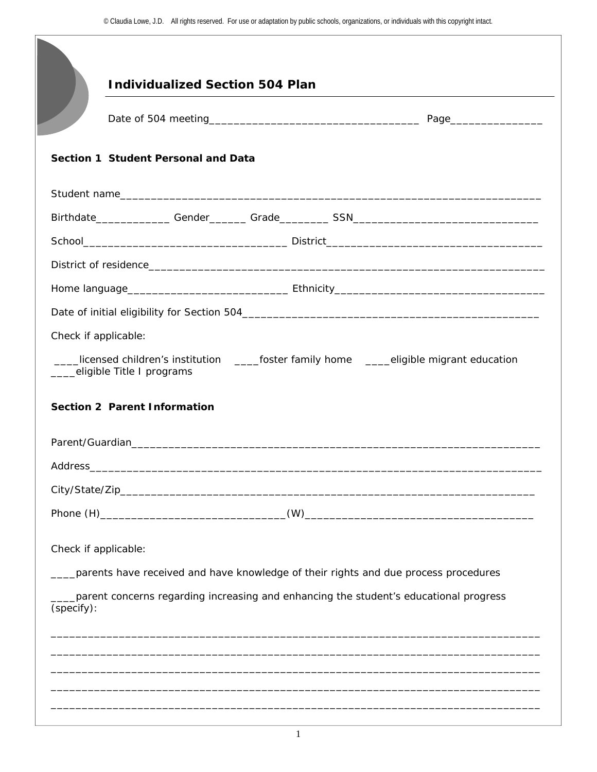|            | <b>Individualized Section 504 Plan</b>                                                                         |
|------------|----------------------------------------------------------------------------------------------------------------|
|            |                                                                                                                |
|            | Section 1 Student Personal and Data                                                                            |
|            |                                                                                                                |
|            |                                                                                                                |
|            |                                                                                                                |
|            |                                                                                                                |
|            |                                                                                                                |
|            |                                                                                                                |
|            | Check if applicable:                                                                                           |
|            | Licensed children's institution Latioster family home Latiosible migrant education                             |
|            | eligible Title I programs                                                                                      |
|            | <b>Section 2 Parent Information</b>                                                                            |
|            | Parent/Guardian and Contract and Contract and Contract and Contract and Contract and Contract and Contract and |
|            |                                                                                                                |
|            |                                                                                                                |
|            |                                                                                                                |
|            |                                                                                                                |
|            | Check if applicable:                                                                                           |
|            | parents have received and have knowledge of their rights and due process procedures                            |
| (specify): | parent concerns regarding increasing and enhancing the student's educational progress                          |
|            |                                                                                                                |
|            |                                                                                                                |
|            |                                                                                                                |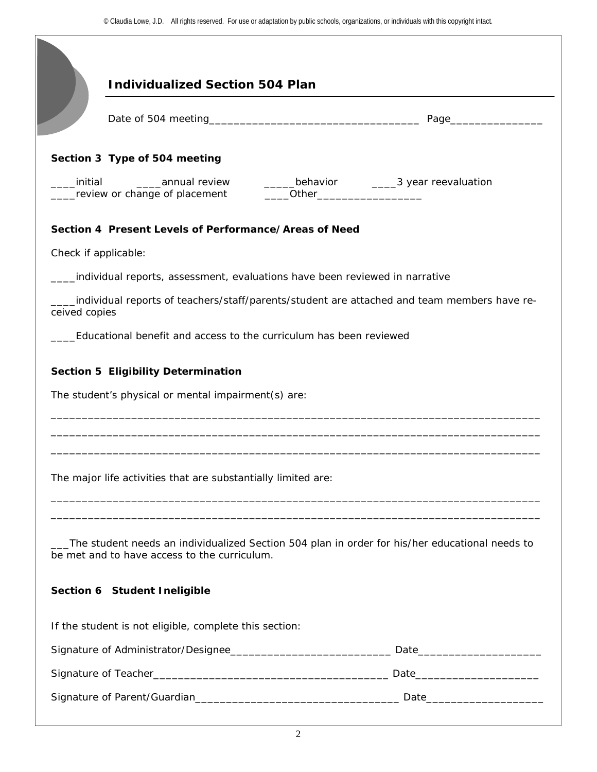|               | <b>Individualized Section 504 Plan</b>                        |                                                                                                |
|---------------|---------------------------------------------------------------|------------------------------------------------------------------------------------------------|
|               |                                                               |                                                                                                |
|               | Section 3 Type of 504 meeting                                 |                                                                                                |
| initial       |                                                               |                                                                                                |
|               | Section 4 Present Levels of Performance/Areas of Need         |                                                                                                |
|               | Check if applicable:                                          |                                                                                                |
|               |                                                               | individual reports, assessment, evaluations have been reviewed in narrative                    |
| ceived copies |                                                               | individual reports of teachers/staff/parents/student are attached and team members have re-    |
|               |                                                               | Educational benefit and access to the curriculum has been reviewed                             |
|               |                                                               |                                                                                                |
|               |                                                               |                                                                                                |
|               | The major life activities that are substantially limited are: |                                                                                                |
|               | be met and to have access to the curriculum.                  | The student needs an individualized Section 504 plan in order for his/her educational needs to |
|               | Section 6 Student Ineligible                                  |                                                                                                |
|               | If the student is not eligible, complete this section:        |                                                                                                |
|               |                                                               |                                                                                                |
|               |                                                               |                                                                                                |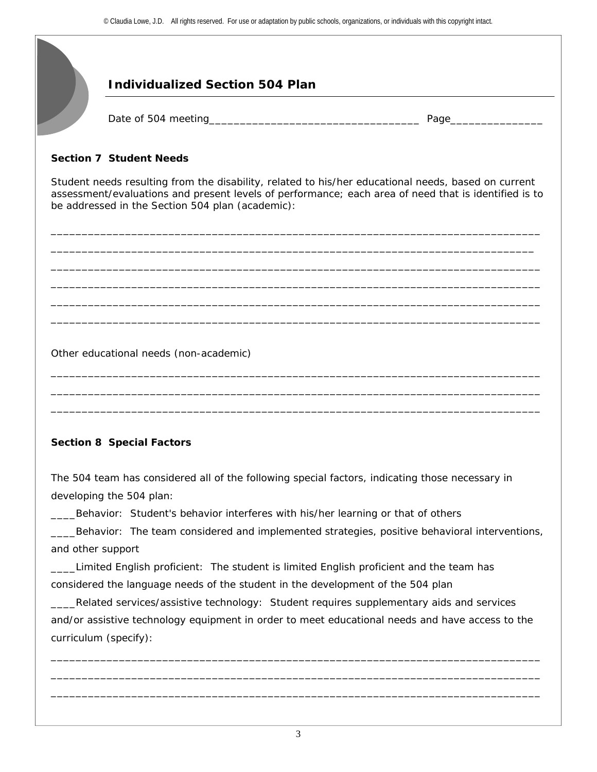## **Individualized Section 504 Plan**

Date of 504 meeting and the state of 504 meeting and the state of  $\frac{1}{2}$  Page

## **Section 7 Student Needs**

Student needs resulting from the disability, related to his/her educational needs, based on current assessment/evaluations and present levels of performance; each area of need that is identified is to be addressed in the Section 504 plan (academic):

\_\_\_\_\_\_\_\_\_\_\_\_\_\_\_\_\_\_\_\_\_\_\_\_\_\_\_\_\_\_\_\_\_\_\_\_\_\_\_\_\_\_\_\_\_\_\_\_\_\_\_\_\_\_\_\_\_\_\_\_\_\_\_\_\_\_\_\_\_\_\_\_\_\_\_\_\_\_\_ \_\_\_\_\_\_\_\_\_\_\_\_\_\_\_\_\_\_\_\_\_\_\_\_\_\_\_\_\_\_\_\_\_\_\_\_\_\_\_\_\_\_\_\_\_\_\_\_\_\_\_\_\_\_\_\_\_\_\_\_\_\_\_\_\_\_\_\_\_\_\_\_\_\_\_\_\_\_ \_\_\_\_\_\_\_\_\_\_\_\_\_\_\_\_\_\_\_\_\_\_\_\_\_\_\_\_\_\_\_\_\_\_\_\_\_\_\_\_\_\_\_\_\_\_\_\_\_\_\_\_\_\_\_\_\_\_\_\_\_\_\_\_\_\_\_\_\_\_\_\_\_\_\_\_\_\_\_ \_\_\_\_\_\_\_\_\_\_\_\_\_\_\_\_\_\_\_\_\_\_\_\_\_\_\_\_\_\_\_\_\_\_\_\_\_\_\_\_\_\_\_\_\_\_\_\_\_\_\_\_\_\_\_\_\_\_\_\_\_\_\_\_\_\_\_\_\_\_\_\_\_\_\_\_\_\_\_ \_\_\_\_\_\_\_\_\_\_\_\_\_\_\_\_\_\_\_\_\_\_\_\_\_\_\_\_\_\_\_\_\_\_\_\_\_\_\_\_\_\_\_\_\_\_\_\_\_\_\_\_\_\_\_\_\_\_\_\_\_\_\_\_\_\_\_\_\_\_\_\_\_\_\_\_\_\_\_ \_\_\_\_\_\_\_\_\_\_\_\_\_\_\_\_\_\_\_\_\_\_\_\_\_\_\_\_\_\_\_\_\_\_\_\_\_\_\_\_\_\_\_\_\_\_\_\_\_\_\_\_\_\_\_\_\_\_\_\_\_\_\_\_\_\_\_\_\_\_\_\_\_\_\_\_\_\_\_

\_\_\_\_\_\_\_\_\_\_\_\_\_\_\_\_\_\_\_\_\_\_\_\_\_\_\_\_\_\_\_\_\_\_\_\_\_\_\_\_\_\_\_\_\_\_\_\_\_\_\_\_\_\_\_\_\_\_\_\_\_\_\_\_\_\_\_\_\_\_\_\_\_\_\_\_\_\_\_ \_\_\_\_\_\_\_\_\_\_\_\_\_\_\_\_\_\_\_\_\_\_\_\_\_\_\_\_\_\_\_\_\_\_\_\_\_\_\_\_\_\_\_\_\_\_\_\_\_\_\_\_\_\_\_\_\_\_\_\_\_\_\_\_\_\_\_\_\_\_\_\_\_\_\_\_\_\_\_ \_\_\_\_\_\_\_\_\_\_\_\_\_\_\_\_\_\_\_\_\_\_\_\_\_\_\_\_\_\_\_\_\_\_\_\_\_\_\_\_\_\_\_\_\_\_\_\_\_\_\_\_\_\_\_\_\_\_\_\_\_\_\_\_\_\_\_\_\_\_\_\_\_\_\_\_\_\_\_

Other educational needs (non-academic)

## **Section 8 Special Factors**

The 504 team has considered all of the following special factors, indicating those necessary in developing the 504 plan:

\_\_\_\_Behavior: Student's behavior interferes with his/her learning or that of others

\_\_\_\_Behavior: The team considered and implemented strategies, positive behavioral interventions, and other support

\_\_\_\_Limited English proficient: The student is limited English proficient and the team has considered the language needs of the student in the development of the 504 plan

\_\_\_\_Related services/assistive technology: Student requires supplementary aids and services and/or assistive technology equipment in order to meet educational needs and have access to the curriculum (specify):

\_\_\_\_\_\_\_\_\_\_\_\_\_\_\_\_\_\_\_\_\_\_\_\_\_\_\_\_\_\_\_\_\_\_\_\_\_\_\_\_\_\_\_\_\_\_\_\_\_\_\_\_\_\_\_\_\_\_\_\_\_\_\_\_\_\_\_\_\_\_\_\_\_\_\_\_\_\_\_ \_\_\_\_\_\_\_\_\_\_\_\_\_\_\_\_\_\_\_\_\_\_\_\_\_\_\_\_\_\_\_\_\_\_\_\_\_\_\_\_\_\_\_\_\_\_\_\_\_\_\_\_\_\_\_\_\_\_\_\_\_\_\_\_\_\_\_\_\_\_\_\_\_\_\_\_\_\_\_ \_\_\_\_\_\_\_\_\_\_\_\_\_\_\_\_\_\_\_\_\_\_\_\_\_\_\_\_\_\_\_\_\_\_\_\_\_\_\_\_\_\_\_\_\_\_\_\_\_\_\_\_\_\_\_\_\_\_\_\_\_\_\_\_\_\_\_\_\_\_\_\_\_\_\_\_\_\_\_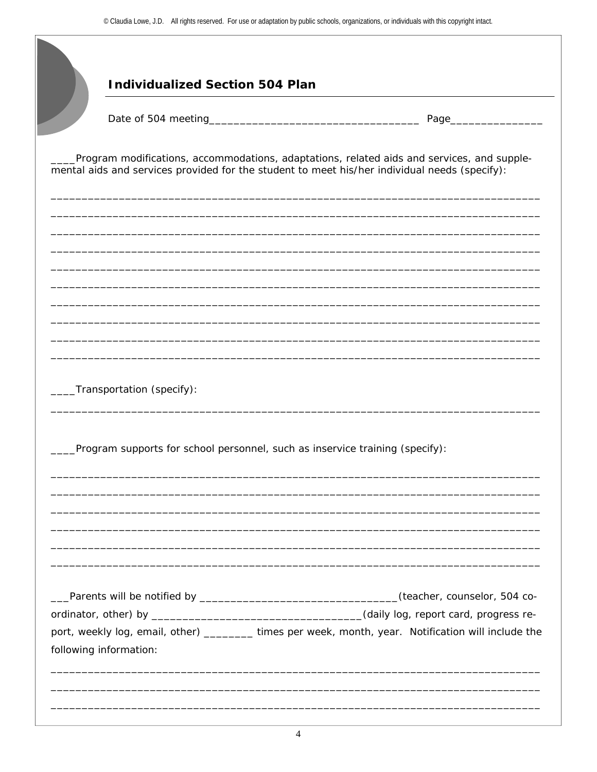|                                                                              |  | Page___                                                                                                                                                                                     |
|------------------------------------------------------------------------------|--|---------------------------------------------------------------------------------------------------------------------------------------------------------------------------------------------|
|                                                                              |  | Program modifications, accommodations, adaptations, related aids and services, and supple-<br>mental aids and services provided for the student to meet his/her individual needs (specify): |
|                                                                              |  |                                                                                                                                                                                             |
|                                                                              |  |                                                                                                                                                                                             |
|                                                                              |  |                                                                                                                                                                                             |
|                                                                              |  |                                                                                                                                                                                             |
| Transportation (specify):                                                    |  |                                                                                                                                                                                             |
| Program supports for school personnel, such as inservice training (specify): |  |                                                                                                                                                                                             |
|                                                                              |  |                                                                                                                                                                                             |
|                                                                              |  |                                                                                                                                                                                             |
|                                                                              |  | ___Parents will be notified by __________________________________(teacher, counselor, 504 co-                                                                                               |
|                                                                              |  |                                                                                                                                                                                             |
| following information:                                                       |  | port, weekly log, email, other) ________ times per week, month, year. Notification will include the                                                                                         |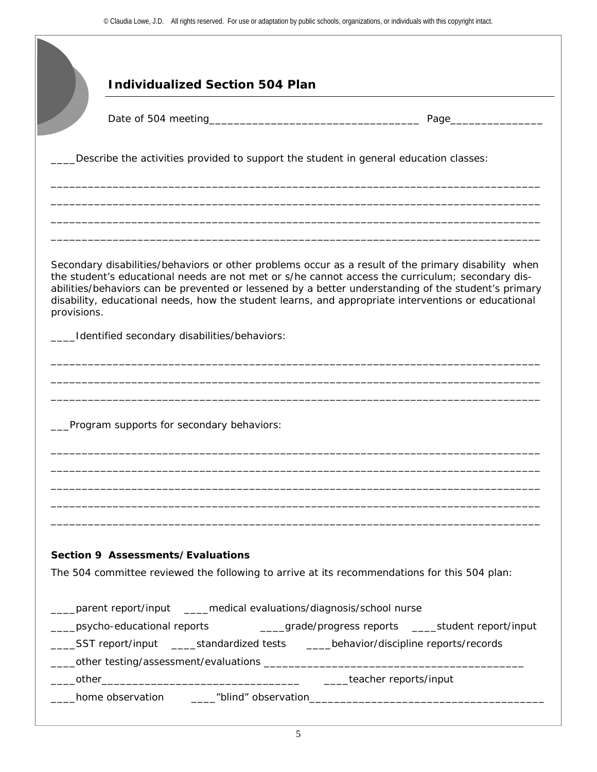|                            | <b>Individualized Section 504 Plan</b>                                                 |                                                                                                                                                                                                                                                                                                                                                                                                                       |
|----------------------------|----------------------------------------------------------------------------------------|-----------------------------------------------------------------------------------------------------------------------------------------------------------------------------------------------------------------------------------------------------------------------------------------------------------------------------------------------------------------------------------------------------------------------|
|                            |                                                                                        | Page___                                                                                                                                                                                                                                                                                                                                                                                                               |
|                            | Describe the activities provided to support the student in general education classes:  |                                                                                                                                                                                                                                                                                                                                                                                                                       |
|                            |                                                                                        |                                                                                                                                                                                                                                                                                                                                                                                                                       |
| provisions.                |                                                                                        | Secondary disabilities/behaviors or other problems occur as a result of the primary disability when<br>the student's educational needs are not met or s/he cannot access the curriculum; secondary dis-<br>abilities/behaviors can be prevented or lessened by a better understanding of the student's primary<br>disability, educational needs, how the student learns, and appropriate interventions or educational |
|                            | Identified secondary disabilities/behaviors:                                           |                                                                                                                                                                                                                                                                                                                                                                                                                       |
|                            | Program supports for secondary behaviors:                                              |                                                                                                                                                                                                                                                                                                                                                                                                                       |
|                            |                                                                                        |                                                                                                                                                                                                                                                                                                                                                                                                                       |
|                            | Section 9 Assessments/Evaluations                                                      |                                                                                                                                                                                                                                                                                                                                                                                                                       |
|                            |                                                                                        | The 504 committee reviewed the following to arrive at its recommendations for this 504 plan:                                                                                                                                                                                                                                                                                                                          |
|                            | ____parent report/input _____medical evaluations/diagnosis/school nurse                |                                                                                                                                                                                                                                                                                                                                                                                                                       |
| $\mathcal{L}^{\text{max}}$ | ____SST report/input _____standardized tests ______behavior/discipline reports/records | _psycho-educational reports ___________grade/progress reports ______student report/input                                                                                                                                                                                                                                                                                                                              |
|                            |                                                                                        |                                                                                                                                                                                                                                                                                                                                                                                                                       |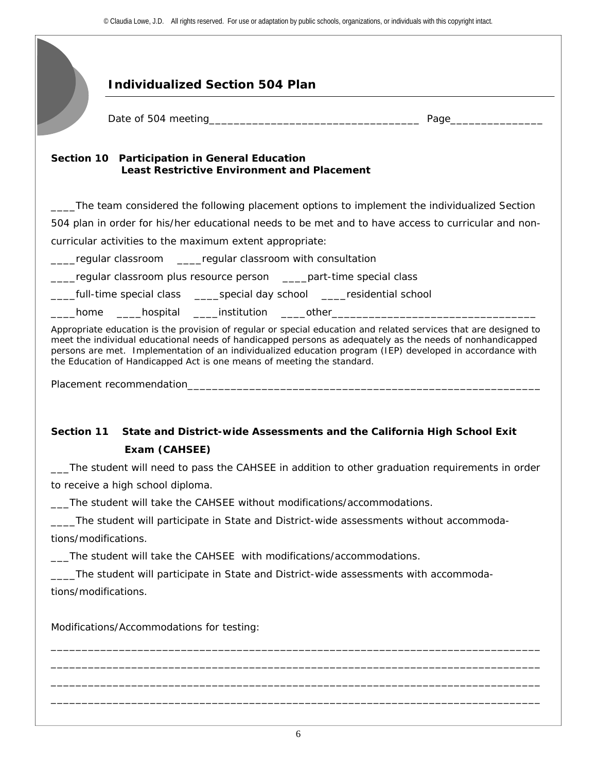## **Individualized Section 504 Plan Section 10 Participation in General Education Least Restrictive Environment and Placement**  \_\_\_\_The team considered the following placement options to implement the individualized Section 504 plan in order for his/her educational needs to be met and to have access to curricular and noncurricular activities to the maximum extent appropriate: \_\_\_\_regular classroom \_\_\_\_regular classroom with consultation \_\_\_\_regular classroom plus resource person \_\_\_\_part-time special class \_full-time special class \_\_\_\_\_special day school \_\_\_\_residential school \_\_\_\_home \_\_\_\_hospital \_\_\_\_institution \_\_\_\_other\_\_\_\_\_\_\_\_\_\_\_\_\_\_\_\_\_\_\_\_\_\_\_\_\_\_\_\_\_\_\_\_\_ Appropriate education is the provision of regular or special education and related services that are designed to meet the individual educational needs of handicapped persons as adequately as the needs of nonhandicapped persons are met. Implementation of an individualized education program (IEP) developed in accordance with the Education of Handicapped Act is one means of meeting the standard. Placement recommendation\_\_\_\_\_\_\_\_\_\_\_\_\_\_\_\_\_\_\_\_\_\_\_\_\_\_\_\_\_\_\_\_\_\_\_\_\_\_\_\_\_\_\_\_\_\_\_\_\_\_\_\_\_\_\_\_\_ **Section 11 State and District-wide Assessments and the California High School Exit Exam (CAHSEE)** Date of 504 meeting and the state of 504 meeting and the state of  $\frac{1}{2}$  Page

\_\_\_The student will need to pass the CAHSEE in addition to other graduation requirements in order to receive a high school diploma.

\_\_\_The student will take the CAHSEE without modifications/accommodations.

\_\_\_\_The student will participate in State and District-wide assessments without accommodations/modifications.

\_\_\_The student will take the CAHSEE with modifications/accommodations.

\_\_\_\_The student will participate in State and District-wide assessments with accommodations/modifications.

Modifications/Accommodations for testing:

\_\_\_\_\_\_\_\_\_\_\_\_\_\_\_\_\_\_\_\_\_\_\_\_\_\_\_\_\_\_\_\_\_\_\_\_\_\_\_\_\_\_\_\_\_\_\_\_\_\_\_\_\_\_\_\_\_\_\_\_\_\_\_\_\_\_\_\_\_\_\_\_\_\_\_\_\_\_\_ \_\_\_\_\_\_\_\_\_\_\_\_\_\_\_\_\_\_\_\_\_\_\_\_\_\_\_\_\_\_\_\_\_\_\_\_\_\_\_\_\_\_\_\_\_\_\_\_\_\_\_\_\_\_\_\_\_\_\_\_\_\_\_\_\_\_\_\_\_\_\_\_\_\_\_\_\_\_\_ \_\_\_\_\_\_\_\_\_\_\_\_\_\_\_\_\_\_\_\_\_\_\_\_\_\_\_\_\_\_\_\_\_\_\_\_\_\_\_\_\_\_\_\_\_\_\_\_\_\_\_\_\_\_\_\_\_\_\_\_\_\_\_\_\_\_\_\_\_\_\_\_\_\_\_\_\_\_\_ \_\_\_\_\_\_\_\_\_\_\_\_\_\_\_\_\_\_\_\_\_\_\_\_\_\_\_\_\_\_\_\_\_\_\_\_\_\_\_\_\_\_\_\_\_\_\_\_\_\_\_\_\_\_\_\_\_\_\_\_\_\_\_\_\_\_\_\_\_\_\_\_\_\_\_\_\_\_\_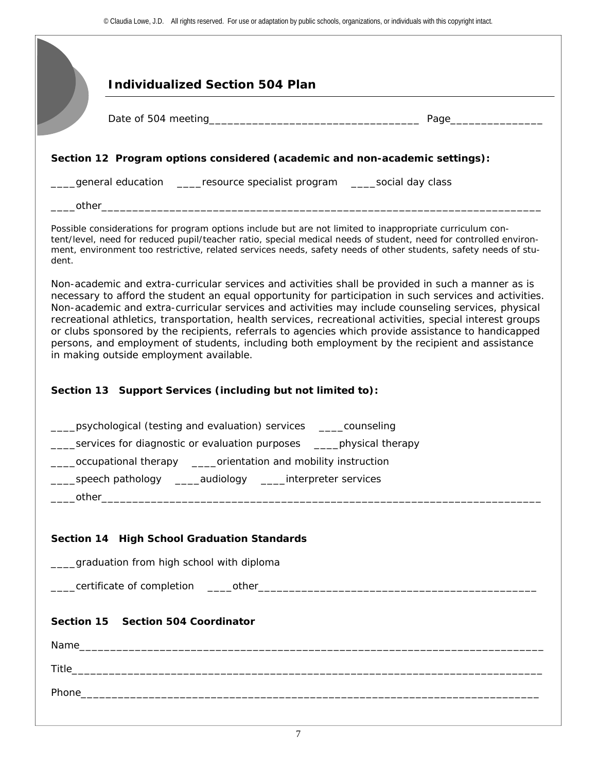|       | <b>Individualized Section 504 Plan</b>                                                                                                                                                                                                                                                                                                                                                                                            |  |  |
|-------|-----------------------------------------------------------------------------------------------------------------------------------------------------------------------------------------------------------------------------------------------------------------------------------------------------------------------------------------------------------------------------------------------------------------------------------|--|--|
|       |                                                                                                                                                                                                                                                                                                                                                                                                                                   |  |  |
|       |                                                                                                                                                                                                                                                                                                                                                                                                                                   |  |  |
|       | Section 12 Program options considered (academic and non-academic settings):                                                                                                                                                                                                                                                                                                                                                       |  |  |
|       | general education _____resource specialist program _____social day class                                                                                                                                                                                                                                                                                                                                                          |  |  |
|       |                                                                                                                                                                                                                                                                                                                                                                                                                                   |  |  |
| dent. | Possible considerations for program options include but are not limited to inappropriate curriculum con-<br>tent/level, need for reduced pupil/teacher ratio, special medical needs of student, need for controlled environ-<br>ment, environment too restrictive, related services needs, safety needs of other students, safety needs of stu-                                                                                   |  |  |
|       | Non-academic and extra-curricular services and activities shall be provided in such a manner as is<br>necessary to afford the student an equal opportunity for participation in such services and activities.<br>Non-academic and extra-curricular services and activities may include counseling services, physical<br>recreational athletics, transportation, health services, recreational activities, special interest groups |  |  |
|       | or clubs sponsored by the recipients, referrals to agencies which provide assistance to handicapped<br>persons, and employment of students, including both employment by the recipient and assistance<br>in making outside employment available.                                                                                                                                                                                  |  |  |
|       | Section 13 Support Services (including but not limited to):<br>psychological (testing and evaluation) services _____counseling                                                                                                                                                                                                                                                                                                    |  |  |
|       | services for diagnostic or evaluation purposes _____ physical therapy                                                                                                                                                                                                                                                                                                                                                             |  |  |
|       | occupational therapy _____orientation and mobility instruction                                                                                                                                                                                                                                                                                                                                                                    |  |  |
|       | _speech pathology _____audiology _____interpreter services                                                                                                                                                                                                                                                                                                                                                                        |  |  |
|       |                                                                                                                                                                                                                                                                                                                                                                                                                                   |  |  |
|       | Section 14 High School Graduation Standards                                                                                                                                                                                                                                                                                                                                                                                       |  |  |
|       | graduation from high school with diploma                                                                                                                                                                                                                                                                                                                                                                                          |  |  |
|       |                                                                                                                                                                                                                                                                                                                                                                                                                                   |  |  |
|       |                                                                                                                                                                                                                                                                                                                                                                                                                                   |  |  |
|       | Section 15 Section 504 Coordinator                                                                                                                                                                                                                                                                                                                                                                                                |  |  |
|       |                                                                                                                                                                                                                                                                                                                                                                                                                                   |  |  |
|       |                                                                                                                                                                                                                                                                                                                                                                                                                                   |  |  |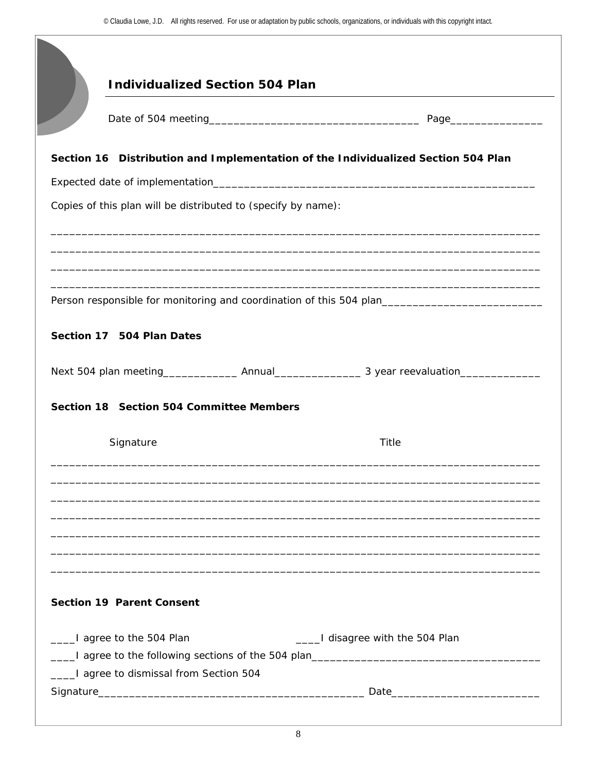|                                                               | <b>Individualized Section 504 Plan</b> |                                                                                                     |
|---------------------------------------------------------------|----------------------------------------|-----------------------------------------------------------------------------------------------------|
|                                                               |                                        |                                                                                                     |
|                                                               |                                        |                                                                                                     |
|                                                               |                                        | Section 16 Distribution and Implementation of the Individualized Section 504 Plan                   |
|                                                               |                                        |                                                                                                     |
| Copies of this plan will be distributed to (specify by name): |                                        |                                                                                                     |
|                                                               |                                        |                                                                                                     |
|                                                               |                                        |                                                                                                     |
|                                                               |                                        |                                                                                                     |
|                                                               |                                        | Person responsible for monitoring and coordination of this 504 plan________________________________ |
| Section 17 504 Plan Dates                                     |                                        |                                                                                                     |
|                                                               |                                        |                                                                                                     |
|                                                               |                                        |                                                                                                     |
| Section 18 Section 504 Committee Members                      |                                        |                                                                                                     |
| Signature                                                     |                                        | Title                                                                                               |
|                                                               |                                        |                                                                                                     |
|                                                               |                                        |                                                                                                     |
|                                                               |                                        |                                                                                                     |
|                                                               |                                        |                                                                                                     |
|                                                               |                                        |                                                                                                     |
|                                                               |                                        |                                                                                                     |
|                                                               |                                        |                                                                                                     |
|                                                               |                                        |                                                                                                     |
| <b>Section 19 Parent Consent</b>                              |                                        |                                                                                                     |
| ____I agree to the 504 Plan                                   |                                        | ____I disagree with the 504 Plan                                                                    |
|                                                               |                                        | ____I agree to the following sections of the 504 plan___________________________                    |
| ____I agree to dismissal from Section 504                     |                                        |                                                                                                     |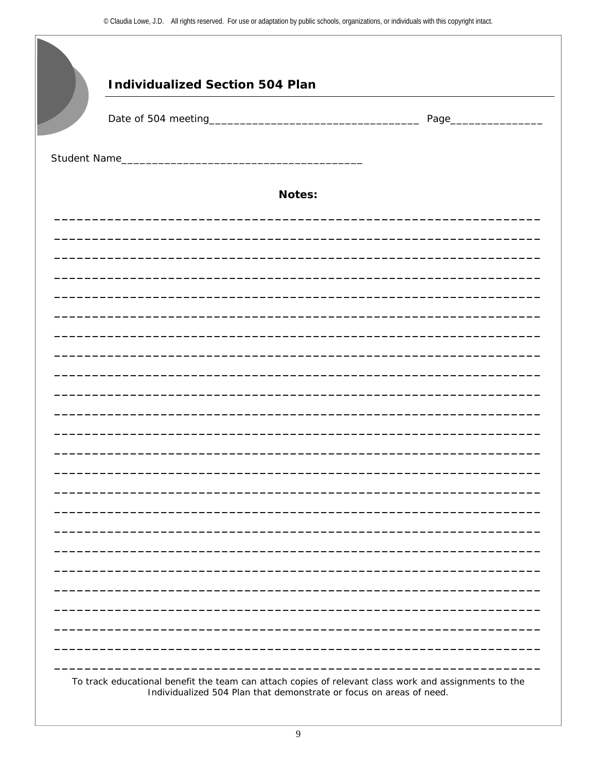$\blacksquare$ 

|  | <b>Notes:</b> |  |  |
|--|---------------|--|--|
|  |               |  |  |
|  |               |  |  |
|  |               |  |  |
|  |               |  |  |
|  |               |  |  |
|  |               |  |  |
|  |               |  |  |
|  |               |  |  |
|  |               |  |  |
|  |               |  |  |
|  |               |  |  |
|  |               |  |  |
|  |               |  |  |
|  |               |  |  |
|  |               |  |  |
|  |               |  |  |
|  |               |  |  |
|  |               |  |  |
|  |               |  |  |
|  |               |  |  |
|  |               |  |  |
|  |               |  |  |
|  |               |  |  |
|  |               |  |  |